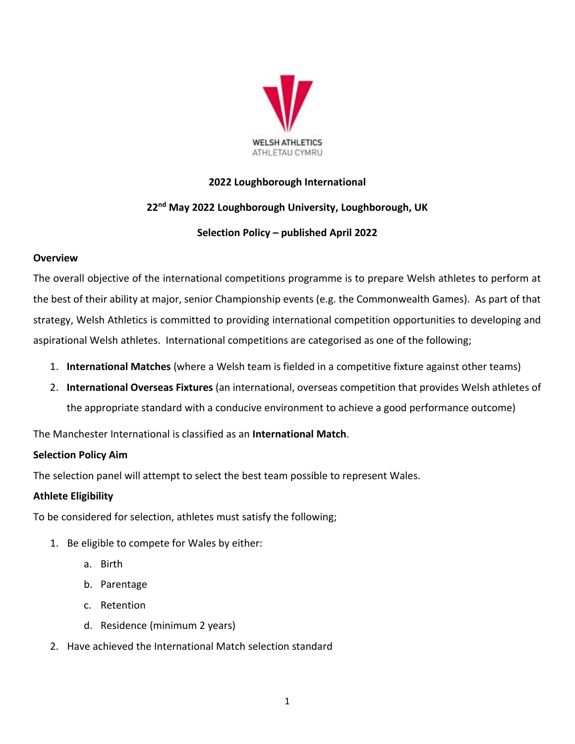

### **2022 Loughborough International**

# **22nd May 2022 Loughborough University, Loughborough, UK**

### **Selection Policy – published April 2022**

### **Overview**

The overall objective of the international competitions programme is to prepare Welsh athletes to perform at the best of their ability at major, senior Championship events (e.g. the Commonwealth Games). As part of that strategy, Welsh Athletics is committed to providing international competition opportunities to developing and aspirational Welsh athletes. International competitions are categorised as one of the following;

- 1. **International Matches** (where a Welsh team is fielded in a competitive fixture against other teams)
- 2. **International Overseas Fixtures** (an international, overseas competition that provides Welsh athletes of the appropriate standard with a conducive environment to achieve a good performance outcome)

The Manchester International is classified as an **International Match**.

# **Selection Policy Aim**

The selection panel will attempt to select the best team possible to represent Wales.

### **Athlete Eligibility**

To be considered for selection, athletes must satisfy the following;

- 1. Be eligible to compete for Wales by either:
	- a. Birth
	- b. Parentage
	- c. Retention
	- d. Residence (minimum 2 years)
- 2. Have achieved the International Match selection standard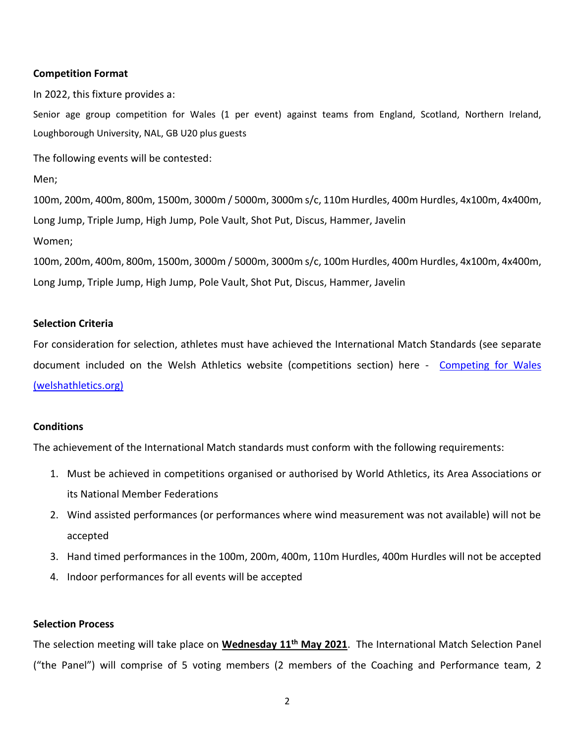#### **Competition Format**

In 2022, this fixture provides a:

Senior age group competition for Wales (1 per event) against teams from England, Scotland, Northern Ireland, Loughborough University, NAL, GB U20 plus guests

The following events will be contested:

Men;

100m, 200m, 400m, 800m, 1500m, 3000m / 5000m, 3000m s/c, 110m Hurdles, 400m Hurdles, 4x100m, 4x400m, Long Jump, Triple Jump, High Jump, Pole Vault, Shot Put, Discus, Hammer, Javelin Women;

100m, 200m, 400m, 800m, 1500m, 3000m / 5000m, 3000m s/c, 100m Hurdles, 400m Hurdles, 4x100m, 4x400m, Long Jump, Triple Jump, High Jump, Pole Vault, Shot Put, Discus, Hammer, Javelin

#### **Selection Criteria**

For consideration for selection, athletes must have achieved the International Match Standards (see separate document included on the Welsh Athletics website (competitions section) here - Competing for Wales [\(welshathletics.org\)](https://www.welshathletics.org/en/page/competing-for-wales)

### **Conditions**

The achievement of the International Match standards must conform with the following requirements:

- 1. Must be achieved in competitions organised or authorised by World Athletics, its Area Associations or its National Member Federations
- 2. Wind assisted performances (or performances where wind measurement was not available) will not be accepted
- 3. Hand timed performances in the 100m, 200m, 400m, 110m Hurdles, 400m Hurdles will not be accepted
- 4. Indoor performances for all events will be accepted

#### **Selection Process**

The selection meeting will take place on **Wednesday 11th May 2021**. The International Match Selection Panel ("the Panel") will comprise of 5 voting members (2 members of the Coaching and Performance team, 2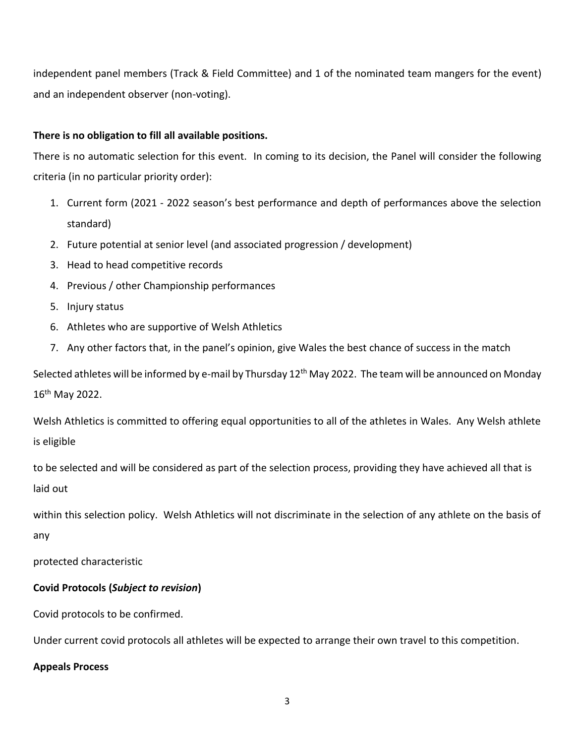independent panel members (Track & Field Committee) and 1 of the nominated team mangers for the event) and an independent observer (non-voting).

### **There is no obligation to fill all available positions.**

There is no automatic selection for this event. In coming to its decision, the Panel will consider the following criteria (in no particular priority order):

- 1. Current form (2021 2022 season's best performance and depth of performances above the selection standard)
- 2. Future potential at senior level (and associated progression / development)
- 3. Head to head competitive records
- 4. Previous / other Championship performances
- 5. Injury status
- 6. Athletes who are supportive of Welsh Athletics
- 7. Any other factors that, in the panel's opinion, give Wales the best chance of success in the match

Selected athletes will be informed by e-mail by Thursday 12<sup>th</sup> May 2022. The team will be announced on Monday 16th May 2022.

Welsh Athletics is committed to offering equal opportunities to all of the athletes in Wales. Any Welsh athlete is eligible

to be selected and will be considered as part of the selection process, providing they have achieved all that is laid out

within this selection policy. Welsh Athletics will not discriminate in the selection of any athlete on the basis of any

protected characteristic

# **Covid Protocols (***Subject to revision***)**

Covid protocols to be confirmed.

Under current covid protocols all athletes will be expected to arrange their own travel to this competition.

# **Appeals Process**